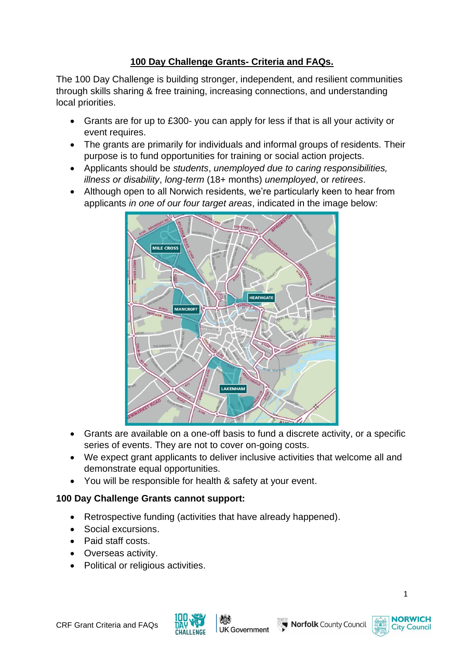# **100 Day Challenge Grants- Criteria and FAQs.**

The 100 Day Challenge is building stronger, independent, and resilient communities through skills sharing & free training, increasing connections, and understanding local priorities.

- Grants are for up to £300- you can apply for less if that is all your activity or event requires.
- The grants are primarily for individuals and informal groups of residents. Their purpose is to fund opportunities for training or social action projects.
- Applicants should be *students*, *unemployed due to caring responsibilities, illness or disability*, *long-term* (18+ months) *unemployed*, or *retirees*.
- Although open to all Norwich residents, we're particularly keen to hear from applicants *in one of our four target areas*, indicated in the image below:



- Grants are available on a one-off basis to fund a discrete activity, or a specific series of events. They are not to cover on-going costs.
- We expect grant applicants to deliver inclusive activities that welcome all and demonstrate equal opportunities.
- You will be responsible for health & safety at your event.

## **100 Day Challenge Grants cannot support:**

- Retrospective funding (activities that have already happened).
- Social excursions.
- Paid staff costs.
- Overseas activity.
- Political or religious activities.



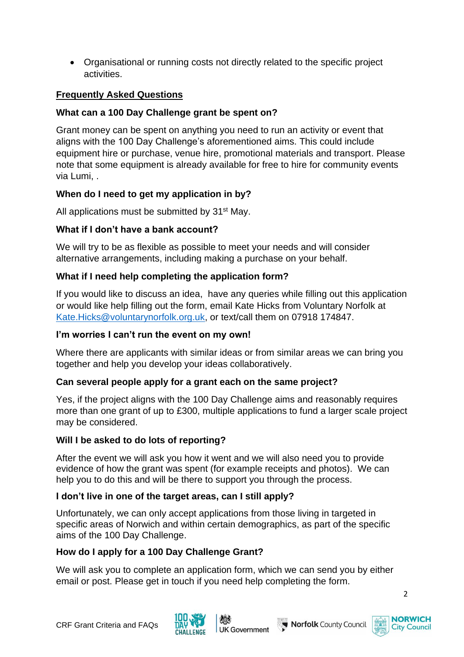• Organisational or running costs not directly related to the specific project activities.

## **Frequently Asked Questions**

## **What can a 100 Day Challenge grant be spent on?**

Grant money can be spent on anything you need to run an activity or event that aligns with the 100 Day Challenge's aforementioned aims. This could include equipment hire or purchase, venue hire, promotional materials and transport. Please note that some equipment is already available for free to hire for community events via Lumi, .

## **When do I need to get my application in by?**

All applications must be submitted by 31<sup>st</sup> May.

### **What if I don't have a bank account?**

We will try to be as flexible as possible to meet your needs and will consider alternative arrangements, including making a purchase on your behalf.

## **What if I need help completing the application form?**

If you would like to discuss an idea, have any queries while filling out this application or would like help filling out the form, email Kate Hicks from Voluntary Norfolk at [Kate.Hicks@voluntarynorfolk.org.uk,](mailto:Kate.Hicks@voluntarynorfolk.org.uk) or text/call them on 07918 174847.

#### **I'm worries I can't run the event on my own!**

Where there are applicants with similar ideas or from similar areas we can bring you together and help you develop your ideas collaboratively.

#### **Can several people apply for a grant each on the same project?**

Yes, if the project aligns with the 100 Day Challenge aims and reasonably requires more than one grant of up to £300, multiple applications to fund a larger scale project may be considered.

#### **Will I be asked to do lots of reporting?**

After the event we will ask you how it went and we will also need you to provide evidence of how the grant was spent (for example receipts and photos). We can help you to do this and will be there to support you through the process.

## **I don't live in one of the target areas, can I still apply?**

Unfortunately, we can only accept applications from those living in targeted in specific areas of Norwich and within certain demographics, as part of the specific aims of the 100 Day Challenge.

#### **How do I apply for a 100 Day Challenge Grant?**

We will ask you to complete an application form, which we can send you by either email or post. Please get in touch if you need help completing the form.